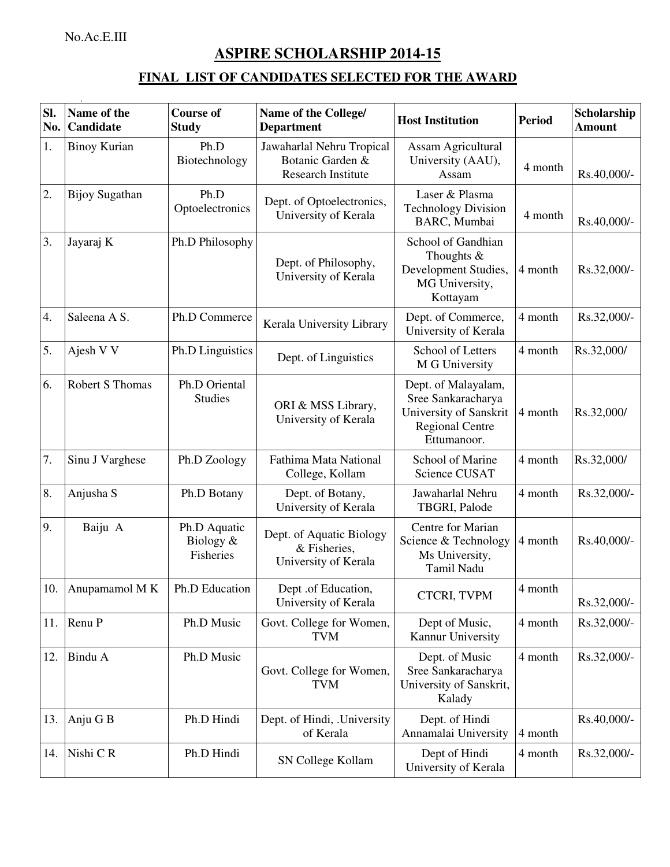No.Ac.E.III

## **ASPIRE SCHOLARSHIP 2014-15**

## **FINAL LIST OF CANDIDATES SELECTED FOR THE AWARD**

| Sl.<br>No. | Name of the<br>Candidate | <b>Course of</b><br><b>Study</b>       | Name of the College/<br><b>Department</b>                                  | <b>Host Institution</b>                                                                                      | <b>Period</b> | Scholarship<br><b>Amount</b> |
|------------|--------------------------|----------------------------------------|----------------------------------------------------------------------------|--------------------------------------------------------------------------------------------------------------|---------------|------------------------------|
| 1.         | <b>Binoy Kurian</b>      | Ph.D<br>Biotechnology                  | Jawaharlal Nehru Tropical<br>Botanic Garden &<br><b>Research Institute</b> | Assam Agricultural<br>University (AAU),<br>Assam                                                             | 4 month       | Rs.40,000/-                  |
| 2.         | <b>Bijoy Sugathan</b>    | Ph.D<br>Optoelectronics                | Dept. of Optoelectronics,<br>University of Kerala                          | Laser & Plasma<br><b>Technology Division</b><br>BARC, Mumbai                                                 | 4 month       | Rs.40,000/-                  |
| 3.         | Jayaraj K                | Ph.D Philosophy                        | Dept. of Philosophy,<br>University of Kerala                               | School of Gandhian<br>Thoughts $&$<br>Development Studies,<br>MG University,<br>Kottayam                     | 4 month       | Rs.32,000/-                  |
| 4.         | Saleena A S.             | Ph.D Commerce                          | Kerala University Library                                                  | Dept. of Commerce,<br>University of Kerala                                                                   | 4 month       | Rs.32,000/-                  |
| 5.         | Ajesh V V                | Ph.D Linguistics                       | Dept. of Linguistics                                                       | School of Letters<br>M G University                                                                          | 4 month       | Rs.32,000/                   |
| 6.         | <b>Robert S Thomas</b>   | Ph.D Oriental<br><b>Studies</b>        | ORI & MSS Library,<br>University of Kerala                                 | Dept. of Malayalam,<br>Sree Sankaracharya<br>University of Sanskrit<br><b>Regional Centre</b><br>Ettumanoor. | 4 month       | Rs.32,000/                   |
| 7.         | Sinu J Varghese          | Ph.D Zoology                           | Fathima Mata National<br>College, Kollam                                   | School of Marine<br>Science CUSAT                                                                            | 4 month       | Rs.32,000/                   |
| 8.         | Anjusha S                | Ph.D Botany                            | Dept. of Botany,<br>University of Kerala                                   | Jawaharlal Nehru<br>TBGRI, Palode                                                                            | 4 month       | Rs.32,000/-                  |
| 9.         | Baiju A                  | Ph.D Aquatic<br>Biology &<br>Fisheries | Dept. of Aquatic Biology<br>& Fisheries,<br>University of Kerala           | Centre for Marian<br>Science & Technology<br>Ms University,<br>Tamil Nadu                                    | 4 month       | Rs.40,000/-                  |
| 10.        | Anupamamol M K           | Ph.D Education                         | Dept .of Education,<br>University of Kerala                                | <b>CTCRI, TVPM</b>                                                                                           | 4 month       | Rs.32,000/-                  |
| 11.        | Renu P                   | Ph.D Music                             | Govt. College for Women,<br><b>TVM</b>                                     | Dept of Music,<br>Kannur University                                                                          | 4 month       | Rs.32,000/-                  |
| 12.        | Bindu A                  | Ph.D Music                             | Govt. College for Women,<br><b>TVM</b>                                     | Dept. of Music<br>Sree Sankaracharya<br>University of Sanskrit,<br>Kalady                                    | 4 month       | Rs.32,000/-                  |
| 13.        | Anju G B                 | Ph.D Hindi                             | Dept. of Hindi, .University<br>of Kerala                                   | Dept. of Hindi<br>Annamalai University                                                                       | 4 month       | Rs.40,000/-                  |
| 14.        | Nishi CR                 | Ph.D Hindi                             | SN College Kollam                                                          | Dept of Hindi<br>University of Kerala                                                                        | 4 month       | Rs.32,000/-                  |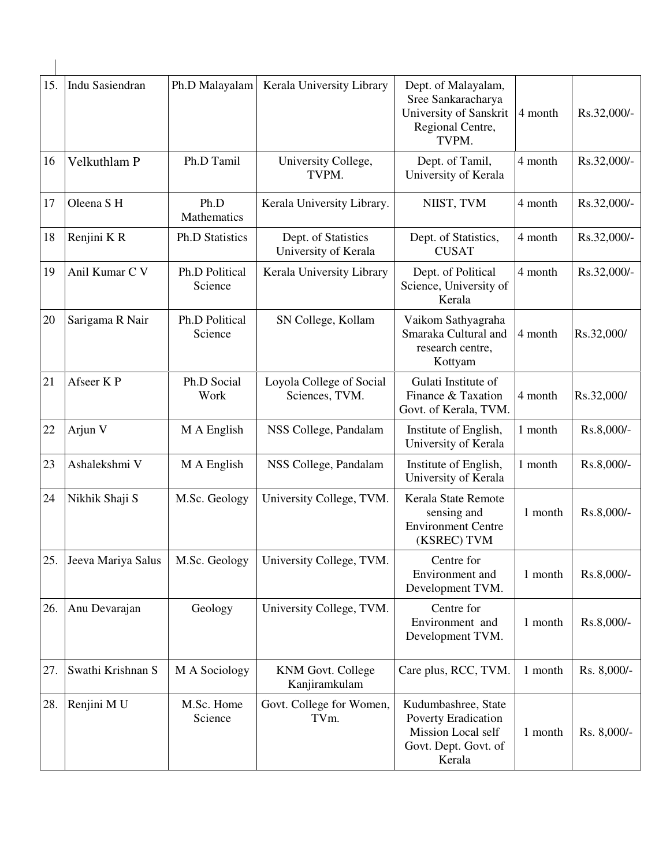| 15. | Indu Sasiendran    | Ph.D Malayalam             | Kerala University Library                   | Dept. of Malayalam,<br>Sree Sankaracharya<br>University of Sanskrit<br>Regional Centre,<br>TVPM.   | 4 month | Rs.32,000/- |
|-----|--------------------|----------------------------|---------------------------------------------|----------------------------------------------------------------------------------------------------|---------|-------------|
| 16  | Velkuthlam P       | Ph.D Tamil                 | University College,<br>TVPM.                | Dept. of Tamil,<br>University of Kerala                                                            | 4 month | Rs.32,000/- |
| 17  | Oleena SH          | Ph.D<br><b>Mathematics</b> | Kerala University Library.                  | NIIST, TVM                                                                                         | 4 month | Rs.32,000/- |
| 18  | Renjini KR         | <b>Ph.D Statistics</b>     | Dept. of Statistics<br>University of Kerala | Dept. of Statistics,<br><b>CUSAT</b>                                                               | 4 month | Rs.32,000/- |
| 19  | Anil Kumar C V     | Ph.D Political<br>Science  | Kerala University Library                   | Dept. of Political<br>Science, University of<br>Kerala                                             | 4 month | Rs.32,000/- |
| 20  | Sarigama R Nair    | Ph.D Political<br>Science  | SN College, Kollam                          | Vaikom Sathyagraha<br>Smaraka Cultural and<br>research centre,<br>Kottyam                          | 4 month | Rs.32,000/  |
| 21  | Afseer K P         | Ph.D Social<br>Work        | Loyola College of Social<br>Sciences, TVM.  | Gulati Institute of<br>Finance & Taxation<br>Govt. of Kerala, TVM.                                 | 4 month | Rs.32,000/  |
| 22  | Arjun V            | M A English                | NSS College, Pandalam                       | Institute of English,<br>University of Kerala                                                      | 1 month | Rs.8,000/-  |
| 23  | Ashalekshmi V      | M A English                | NSS College, Pandalam                       | Institute of English,<br>University of Kerala                                                      | 1 month | Rs.8,000/-  |
| 24  | Nikhik Shaji S     | M.Sc. Geology              | University College, TVM.                    | Kerala State Remote<br>sensing and<br><b>Environment Centre</b><br>(KSREC) TVM                     | 1 month | Rs.8,000/-  |
| 25. | Jeeva Mariya Salus | M.Sc. Geology              | University College, TVM.                    | Centre for<br>Environment and<br>Development TVM.                                                  | 1 month | Rs.8,000/-  |
| 26. | Anu Devarajan      | Geology                    | University College, TVM.                    | Centre for<br>Environment and<br>Development TVM.                                                  | 1 month | Rs.8,000/-  |
| 27. | Swathi Krishnan S  | M A Sociology              | <b>KNM Govt. College</b><br>Kanjiramkulam   | Care plus, RCC, TVM.                                                                               | 1 month | Rs. 8,000/- |
| 28. | Renjini MU         | M.Sc. Home<br>Science      | Govt. College for Women,<br>TVm.            | Kudumbashree, State<br>Poverty Eradication<br>Mission Local self<br>Govt. Dept. Govt. of<br>Kerala | 1 month | Rs. 8,000/- |